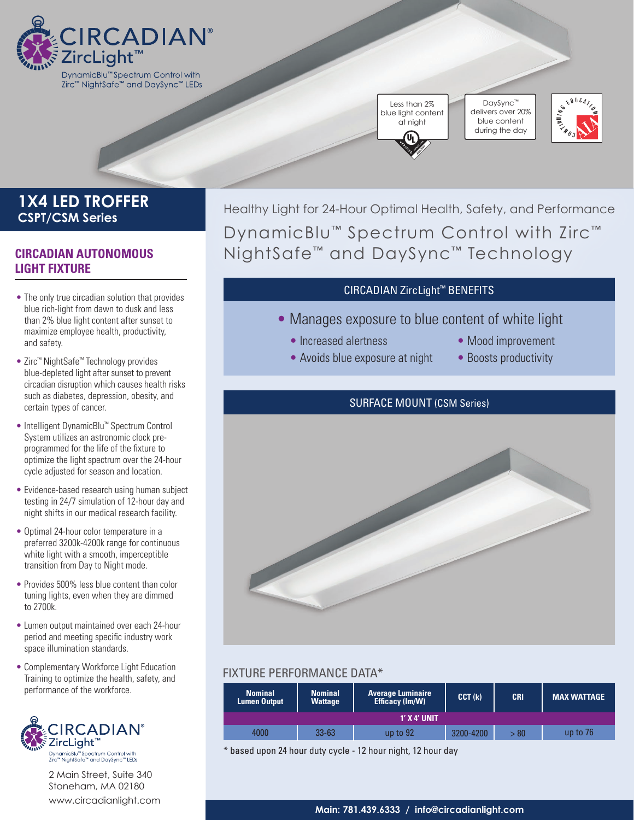

Zirc™ NightSafe™ and DaySync™ LEDs

Less than 2% blue light content at night

DaySync™ delivers over 20% blue content during the day



# **1X4 LED TROFFER CSPT/CSM Series**

## **CIRCADIAN AUTONOMOUS LIGHT FIXTURE**

- The only true circadian solution that provides blue rich-light from dawn to dusk and less than 2% blue light content after sunset to maximize employee health, productivity, and safety.
- Zirc™ NightSafe™ Technology provides blue-depleted light after sunset to prevent circadian disruption which causes health risks such as diabetes, depression, obesity, and certain types of cancer.
- Intelligent DynamicBlu™ Spectrum Control System utilizes an astronomic clock preprogrammed for the life of the fixture to optimize the light spectrum over the 24-hour cycle adjusted for season and location.
- Evidence-based research using human subject testing in 24/7 simulation of 12-hour day and night shifts in our medical research facility.
- Optimal 24-hour color temperature in a preferred 3200k-4200k range for continuous white light with a smooth, imperceptible transition from Day to Night mode.
- Provides 500% less blue content than color tuning lights, even when they are dimmed to 2700k.
- Lumen output maintained over each 24-hour period and meeting specific industry work space illumination standards.
- Complementary Workforce Light Education Training to optimize the health, safety, and performance of the workforce.



2 Main Street, Suite 340 Stoneham, MA 02180 [www.circadianlight.com](http://www.circadianlight.com)

Healthy Light for 24-Hour Optimal Health, Safety, and Performance DynamicBlu™ Spectrum Control with Zirc™ NightSafe™ and DaySync™ Technology

## CIRCADIAN ZircLight™ BENEFITS

- Manages exposure to blue content of white light
	- Increased alertness
	- Avoids blue exposure at night
- Mood improvement
- Boosts productivity

## SURFACE MOUNT (CSM Series)



## FIXTURE PERFORMANCE DATA\*

| <b>Nominal</b><br><b>Lumen Output</b> | <b>Nominal</b><br>Wattage | <b>Average Luminaire</b><br>Efficacy (Im/W) | CCT (k)   | <b>CRI</b> | <b>MAX WATTAGE</b> |
|---------------------------------------|---------------------------|---------------------------------------------|-----------|------------|--------------------|
| 1' X 4' UNIT                          |                           |                                             |           |            |                    |
| 4000                                  | 33-63                     | up to $92$                                  | 3200-4200 | >80        | up to $76$         |

\* based upon 24 hour duty cycle - 12 hour night, 12 hour day